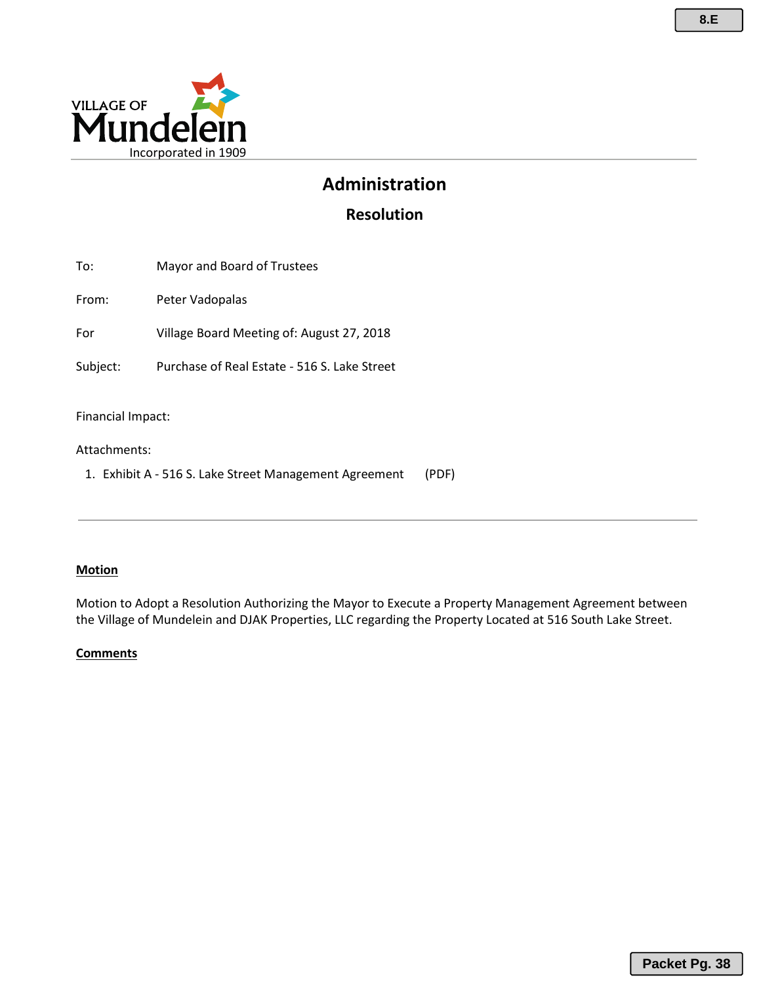

# **Administration**

**Resolution**

| Peter Vadopalas<br>Village Board Meeting of: August 27, 2018<br>Purchase of Real Estate - 516 S. Lake Street<br>Financial Impact:<br>Attachments:<br>1. Exhibit A - 516 S. Lake Street Management Agreement<br>(PDF) | To:      | Mayor and Board of Trustees |  |
|----------------------------------------------------------------------------------------------------------------------------------------------------------------------------------------------------------------------|----------|-----------------------------|--|
|                                                                                                                                                                                                                      | From:    |                             |  |
|                                                                                                                                                                                                                      | For      |                             |  |
|                                                                                                                                                                                                                      | Subject: |                             |  |
|                                                                                                                                                                                                                      |          |                             |  |

#### **Motion**

Motion to Adopt a Resolution Authorizing the Mayor to Execute a Property Management Agreement between the Village of Mundelein and DJAK Properties, LLC regarding the Property Located at 516 South Lake Street.

#### **Comments**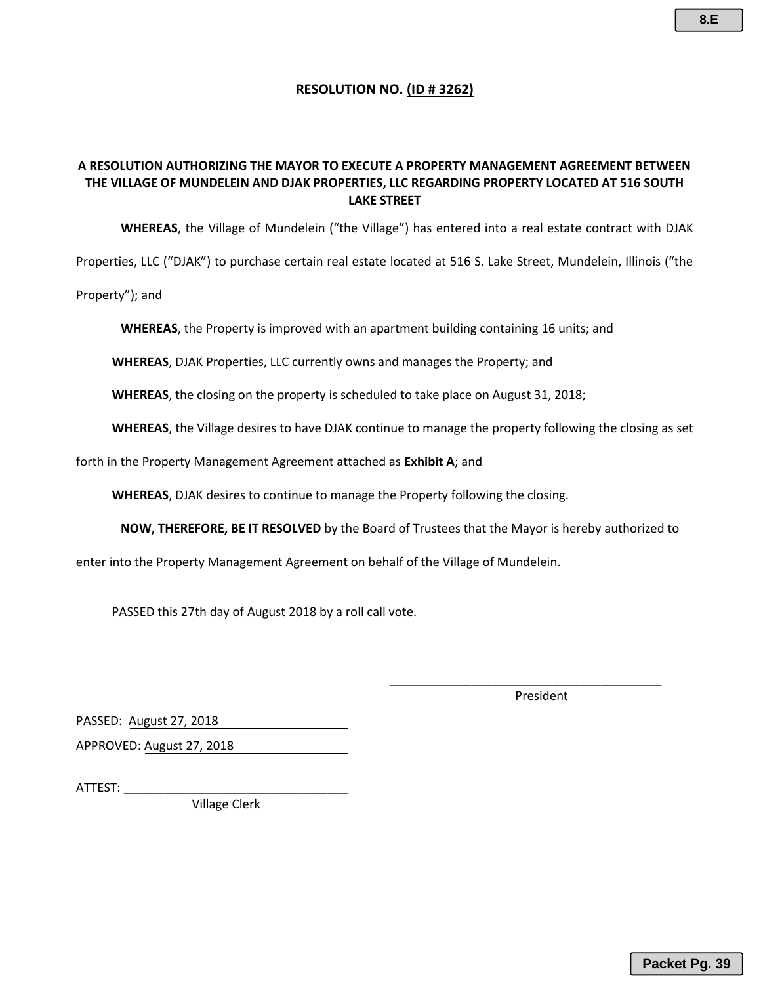#### **RESOLUTION NO. (ID # 3262)**

#### **A RESOLUTION AUTHORIZING THE MAYOR TO EXECUTE A PROPERTY MANAGEMENT AGREEMENT BETWEEN THE VILLAGE OF MUNDELEIN AND DJAK PROPERTIES, LLC REGARDING PROPERTY LOCATED AT 516 SOUTH LAKE STREET**

**WHEREAS**, the Village of Mundelein ("the Village") has entered into a real estate contract with DJAK

Properties, LLC ("DJAK") to purchase certain real estate located at 516 S. Lake Street, Mundelein, Illinois ("the

Property"); and

**WHEREAS**, the Property is improved with an apartment building containing 16 units; and

**WHEREAS**, DJAK Properties, LLC currently owns and manages the Property; and

**WHEREAS**, the closing on the property is scheduled to take place on August 31, 2018;

**WHEREAS**, the Village desires to have DJAK continue to manage the property following the closing as set

forth in the Property Management Agreement attached as **Exhibit A**; and

**WHEREAS**, DJAK desires to continue to manage the Property following the closing.

**NOW, THEREFORE, BE IT RESOLVED** by the Board of Trustees that the Mayor is hereby authorized to

enter into the Property Management Agreement on behalf of the Village of Mundelein.

PASSED this 27th day of August 2018 by a roll call vote.

President

\_\_\_\_\_\_\_\_\_\_\_\_\_\_\_\_\_\_\_\_\_\_\_\_\_\_\_\_\_\_\_\_\_\_\_\_\_\_\_\_

PASSED: August 27, 2018

APPROVED: August 27, 2018

ATTEST: \_\_\_\_\_\_\_\_\_\_\_\_\_\_\_\_\_\_\_\_\_\_\_\_\_\_\_\_\_\_\_\_\_

Village Clerk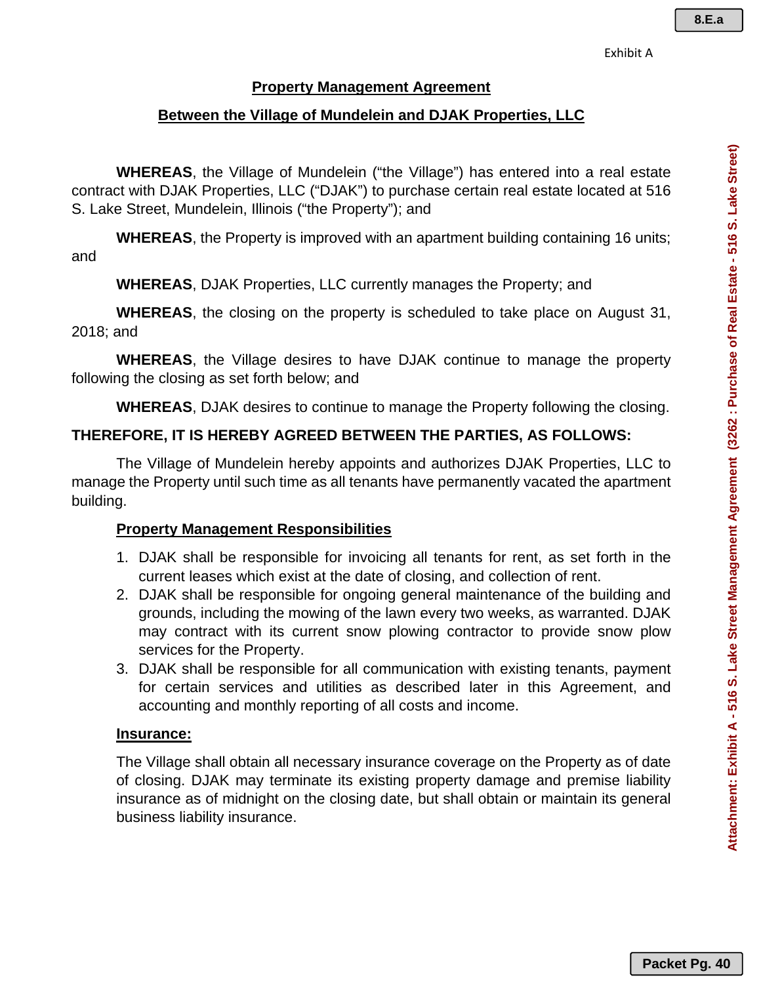#### **Property Management Agreement**

## **Between the Village of Mundelein and DJAK Properties, LLC**

**WHEREAS**, the Village of Mundelein ("the Village") has entered into a real estate contract with DJAK Properties, LLC ("DJAK") to purchase certain real estate located at 516 S. Lake Street, Mundelein, Illinois ("the Property"); and

**WHEREAS**, the Property is improved with an apartment building containing 16 units; and

**WHEREAS**, DJAK Properties, LLC currently manages the Property; and

**WHEREAS**, the closing on the property is scheduled to take place on August 31, 2018; and

**WHEREAS**, the Village desires to have DJAK continue to manage the property following the closing as set forth below; and

**WHEREAS**, DJAK desires to continue to manage the Property following the closing.

## **THEREFORE, IT IS HEREBY AGREED BETWEEN THE PARTIES, AS FOLLOWS:**

The Village of Mundelein hereby appoints and authorizes DJAK Properties, LLC to manage the Property until such time as all tenants have permanently vacated the apartment building.

### **Property Management Responsibilities**

- 1. DJAK shall be responsible for invoicing all tenants for rent, as set forth in the current leases which exist at the date of closing, and collection of rent.
- 2. DJAK shall be responsible for ongoing general maintenance of the building and grounds, including the mowing of the lawn every two weeks, as warranted. DJAK may contract with its current snow plowing contractor to provide snow plow services for the Property.
- 3. DJAK shall be responsible for all communication with existing tenants, payment for certain services and utilities as described later in this Agreement, and accounting and monthly reporting of all costs and income.

### **Insurance:**

The Village shall obtain all necessary insurance coverage on the Property as of date of closing. DJAK may terminate its existing property damage and premise liability insurance as of midnight on the closing date, but shall obtain or maintain its general business liability insurance.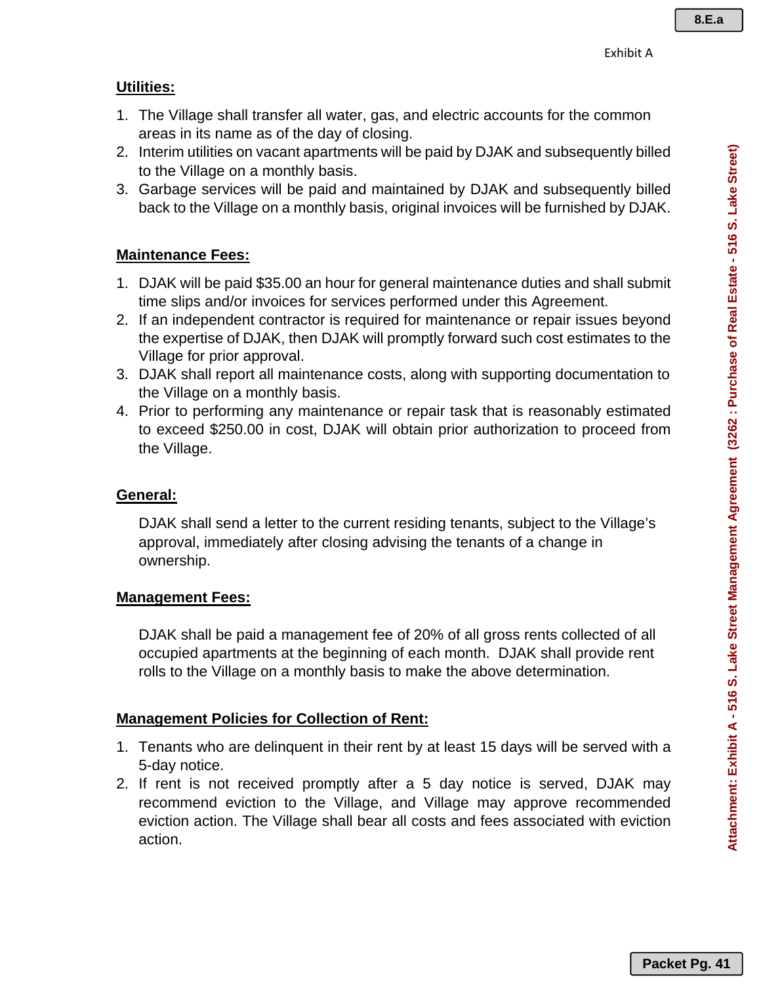## **Utilities:**

- 1. The Village shall transfer all water, gas, and electric accounts for the common areas in its name as of the day of closing.
- 2. Interim utilities on vacant apartments will be paid by DJAK and subsequently billed to the Village on a monthly basis.
- 3. Garbage services will be paid and maintained by DJAK and subsequently billed back to the Village on a monthly basis, original invoices will be furnished by DJAK.

# **Maintenance Fees:**

- 1. DJAK will be paid \$35.00 an hour for general maintenance duties and shall submit time slips and/or invoices for services performed under this Agreement.
- 2. If an independent contractor is required for maintenance or repair issues beyond the expertise of DJAK, then DJAK will promptly forward such cost estimates to the Village for prior approval.
- 3. DJAK shall report all maintenance costs, along with supporting documentation to the Village on a monthly basis.
- 4. Prior to performing any maintenance or repair task that is reasonably estimated to exceed \$250.00 in cost, DJAK will obtain prior authorization to proceed from the Village.

# **General:**

DJAK shall send a letter to the current residing tenants, subject to the Village's approval, immediately after closing advising the tenants of a change in ownership.

## **Management Fees:**

DJAK shall be paid a management fee of 20% of all gross rents collected of all occupied apartments at the beginning of each month. DJAK shall provide rent rolls to the Village on a monthly basis to make the above determination.

# **Management Policies for Collection of Rent:**

- 1. Tenants who are delinquent in their rent by at least 15 days will be served with a 5-day notice.
- 2. If rent is not received promptly after a 5 day notice is served, DJAK may recommend eviction to the Village, and Village may approve recommended eviction action. The Village shall bear all costs and fees associated with eviction action.